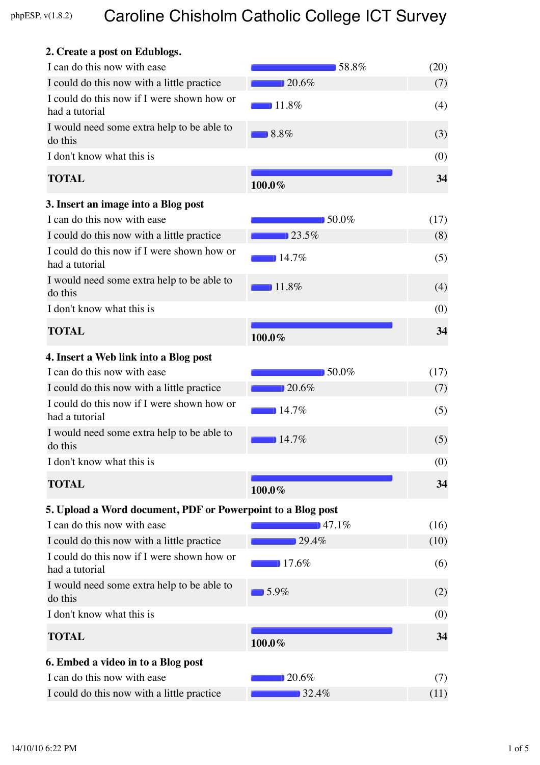# phpESP,  $v(1.8.2)$

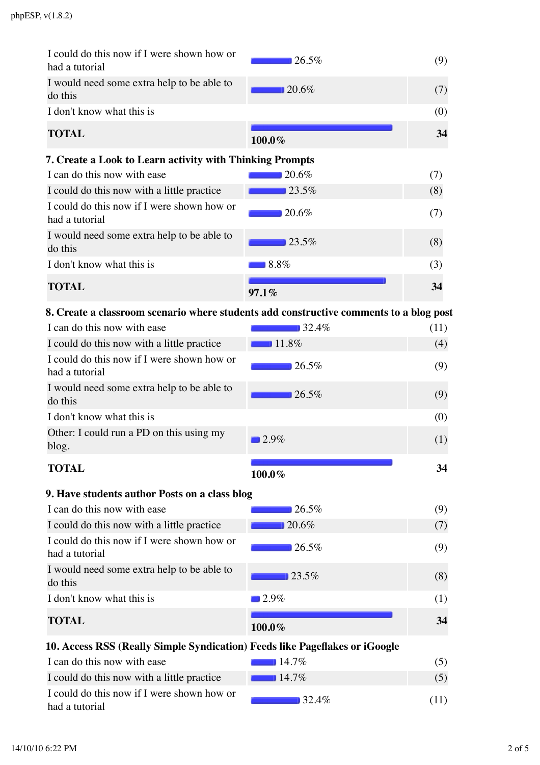| I could do this now if I were shown how or<br>had a tutorial                                                   | 26.5%    | (9)  |
|----------------------------------------------------------------------------------------------------------------|----------|------|
| I would need some extra help to be able to<br>do this                                                          | 20.6%    | (7)  |
| I don't know what this is                                                                                      |          | (0)  |
| <b>TOTAL</b>                                                                                                   | 100.0%   | 34   |
| 7. Create a Look to Learn activity with Thinking Prompts                                                       |          |      |
| I can do this now with ease                                                                                    | 20.6%    | (7)  |
| I could do this now with a little practice                                                                     | 23.5%    | (8)  |
| I could do this now if I were shown how or<br>had a tutorial                                                   | 20.6%    | (7)  |
| I would need some extra help to be able to<br>do this                                                          | 23.5%    | (8)  |
| I don't know what this is                                                                                      | 8.8%     | (3)  |
| <b>TOTAL</b>                                                                                                   | 97.1%    | 34   |
| 8. Create a classroom scenario where students add constructive comments to a blog post                         |          |      |
| I can do this now with ease                                                                                    | 32.4%    | (11) |
| and the committee of the control of the control of the control of the control of the control of the control of | $-11.0M$ |      |

| I could do this now with a little practice                   | $\Box$ 11.8% | (4) |
|--------------------------------------------------------------|--------------|-----|
|                                                              |              |     |
| I could do this now if I were shown how or<br>had a tutorial | 26.5%        | (9) |
| I would need some extra help to be able to<br>do this        | 26.5%        | (9) |
| I don't know what this is                                    |              | (0) |
| Other: I could run a PD on this using my<br>blog.            | $\Box$ 2.9%  | (1) |
| <b>TOTAL</b>                                                 | $100.0\%$    | 34  |

| 9. Have students author Posts on a class blog                              |             |     |
|----------------------------------------------------------------------------|-------------|-----|
| I can do this now with ease                                                | 26.5%       | (9) |
| I could do this now with a little practice                                 | 20.6%       | (7) |
| I could do this now if I were shown how or<br>had a tutorial               | 26.5%       | (9) |
| I would need some extra help to be able to<br>do this                      | 23.5%       | (8) |
| I don't know what this is                                                  | $\Box$ 2.9% | (1) |
| <b>TOTAL</b>                                                               | 100.0%      | 34  |
| 10 Access RSS (Really Simple Syndication) Feeds like Pageflakes or iCoogle |             |     |

## **10. Access RSS (Really Simple Syndication) Feeds like Pageflakes or iGoogle**

| I can do this now with ease                                  | $14.7\%$  |      |
|--------------------------------------------------------------|-----------|------|
| I could do this now with a little practice                   | $14.7\%$  | (5)  |
| I could do this now if I were shown how or<br>had a tutorial | $132.4\%$ | (11) |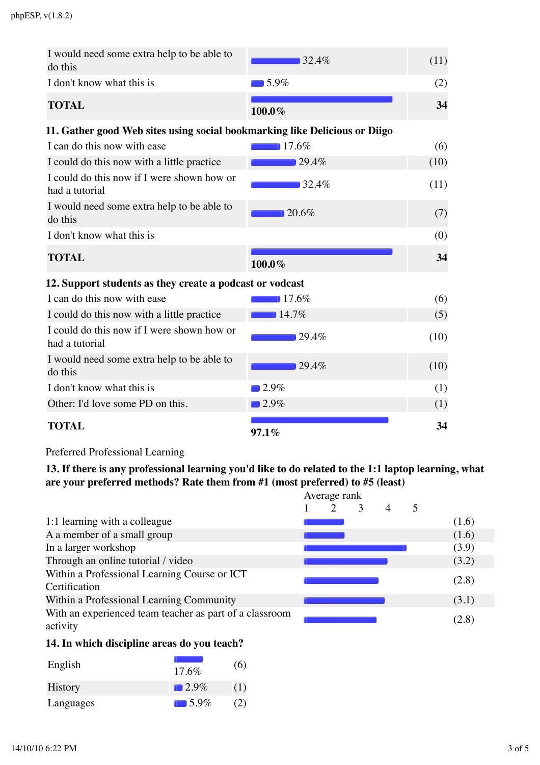| I would need some extra help to be able to<br>do this                      | 32.4%               | (11) |
|----------------------------------------------------------------------------|---------------------|------|
| I don't know what this is                                                  | $15.9\%$            | (2)  |
| <b>TOTAL</b>                                                               | 100.0%              | 34   |
| 11. Gather good Web sites using social bookmarking like Delicious or Diigo |                     |      |
| I can do this now with ease                                                | 17.6%               | (6)  |
| I could do this now with a little practice                                 | 29.4%               | (10) |
| I could do this now if I were shown how or<br>had a tutorial               | 32.4%               | (11) |
| I would need some extra help to be able to<br>do this                      | 20.6%               | (7)  |
| I don't know what this is                                                  |                     | (0)  |
|                                                                            |                     |      |
| <b>TOTAL</b>                                                               | 100.0%              | 34   |
| 12. Support students as they create a podcast or vodcast                   |                     |      |
| I can do this now with ease                                                | 17.6%               | (6)  |
| I could do this now with a little practice                                 | 14.7%               | (5)  |
| I could do this now if I were shown how or<br>had a tutorial               | 29.4%               | (10) |
| I would need some extra help to be able to<br>do this                      | 29.4%               | (10) |
| I don't know what this is                                                  | $\blacksquare$ 2.9% | (1)  |
| Other: I'd love some PD on this.                                           | $12.9\%$            | (1)  |

Preferred Professional Learning

**13. If there is any professional learning you'd like to do related to the 1:1 laptop learning, what are your preferred methods? Rate them from #1 (most preferred) to #5 (least)**

|                                                                     | Average rank |  |  |  |   |       |
|---------------------------------------------------------------------|--------------|--|--|--|---|-------|
|                                                                     |              |  |  |  | 5 |       |
| 1:1 learning with a colleague                                       |              |  |  |  |   | (1.6) |
| A a member of a small group                                         |              |  |  |  |   | (1.6) |
| In a larger workshop                                                |              |  |  |  |   | (3.9) |
| Through an online tutorial / video                                  |              |  |  |  |   | (3.2) |
| Within a Professional Learning Course or ICT                        |              |  |  |  |   | (2.8) |
| Certification                                                       |              |  |  |  |   |       |
| Within a Professional Learning Community                            |              |  |  |  |   | (3.1) |
| With an experienced team teacher as part of a classroom<br>activity |              |  |  |  |   | (2.8) |

#### **14. In which discipline areas do you teach?**

| English        | $17.6\%$    | (6) |
|----------------|-------------|-----|
| <b>History</b> | $\Box$ 2.9% | (1) |
| Languages      | $\Box$ 5.9% | 2)  |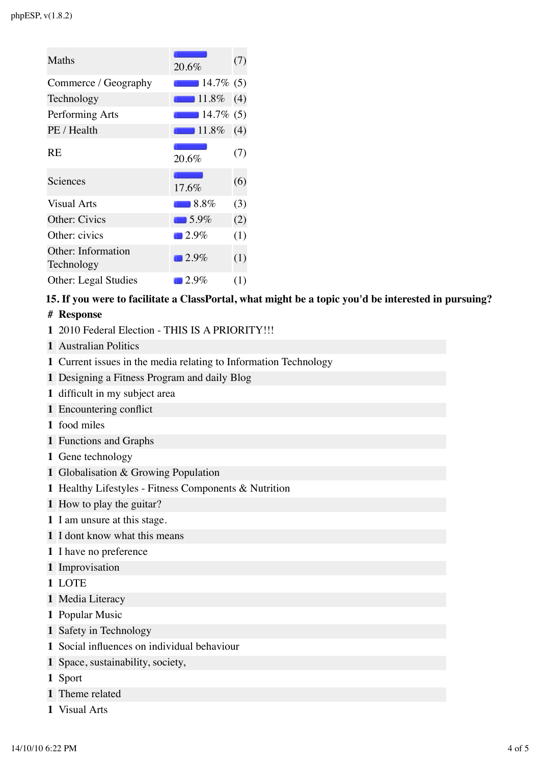| Maths                            | 20.6%                | (7) |
|----------------------------------|----------------------|-----|
| Commerce / Geography             | $14.7\%$ (5)         |     |
| Technology                       | $\blacksquare$ 11.8% | (4) |
| Performing Arts                  | $14.7\%$ (5)         |     |
| PE / Health                      | $\blacksquare$ 11.8% | (4) |
| <b>RE</b>                        | 20.6%                | (7) |
| Sciences                         | 17.6%                | (6) |
| <b>Visual Arts</b>               | $-8.8\%$             | (3) |
| Other: Civics                    | $\Box$ 5.9%          | (2) |
| Other: civics                    | $\blacksquare$ 2.9%  | (1) |
| Other: Information<br>Technology | $\blacksquare$ 2.9%  | (1) |
| <b>Other: Legal Studies</b>      | $\blacksquare$ 2.9%  | (1) |

#### **15. If you were to facilitate a ClassPortal, what might be a topic you'd be interested in pursuing?**

- **# Response**
- **1** 2010 Federal Election THIS IS A PRIORITY!!!
- **1** Australian Politics
- **1** Current issues in the media relating to Information Technology
- **1** Designing a Fitness Program and daily Blog
- **1** difficult in my subject area
- **1** Encountering conflict
- **1** food miles
- **1** Functions and Graphs
- **1** Gene technology
- **1** Globalisation & Growing Population
- **1** Healthy Lifestyles Fitness Components & Nutrition
- **1** How to play the guitar?
- **1** I am unsure at this stage.
- **1** I dont know what this means
- **1** I have no preference
- **1** Improvisation
- **1** LOTE
- **1** Media Literacy
- **1** Popular Music
- **1** Safety in Technology
- **1** Social influences on individual behaviour
- **1** Space, sustainability, society,
- **1** Sport
- **1** Theme related
- **1** Visual Arts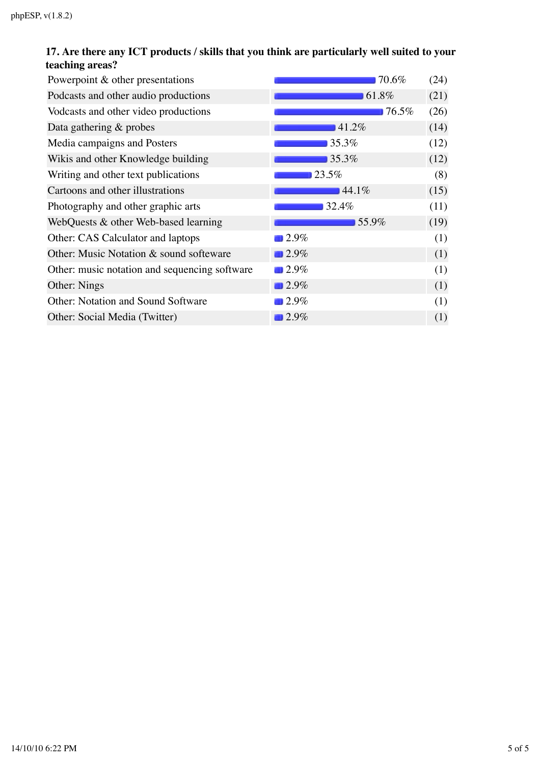### **17. Are there any ICT products / skills that you think are particularly well suited to your teaching areas?**

| Powerpoint & other presentations              | 70.6%               | (24) |
|-----------------------------------------------|---------------------|------|
| Podcasts and other audio productions          | 61.8%               | (21) |
| Vodcasts and other video productions          | 76.5%               | (26) |
| Data gathering $&$ probes                     | 41.2%               | (14) |
| Media campaigns and Posters                   | 35.3%               | (12) |
| Wikis and other Knowledge building            | 35.3%               | (12) |
| Writing and other text publications           | 23.5%               | (8)  |
| Cartoons and other illustrations              | 44.1%               | (15) |
| Photography and other graphic arts            | 32.4%               | (11) |
| WebQuests & other Web-based learning          | 55.9%               | (19) |
| Other: CAS Calculator and laptops             | 2.9%                | (1)  |
| Other: Music Notation & sound softeware       | 2.9%                | (1)  |
| Other: music notation and sequencing software | 2.9%                | (1)  |
| Other: Nings                                  | $\blacksquare$ 2.9% | (1)  |
| <b>Other: Notation and Sound Software</b>     | 2.9%                | (1)  |
| Other: Social Media (Twitter)                 | 2.9%                | (1)  |